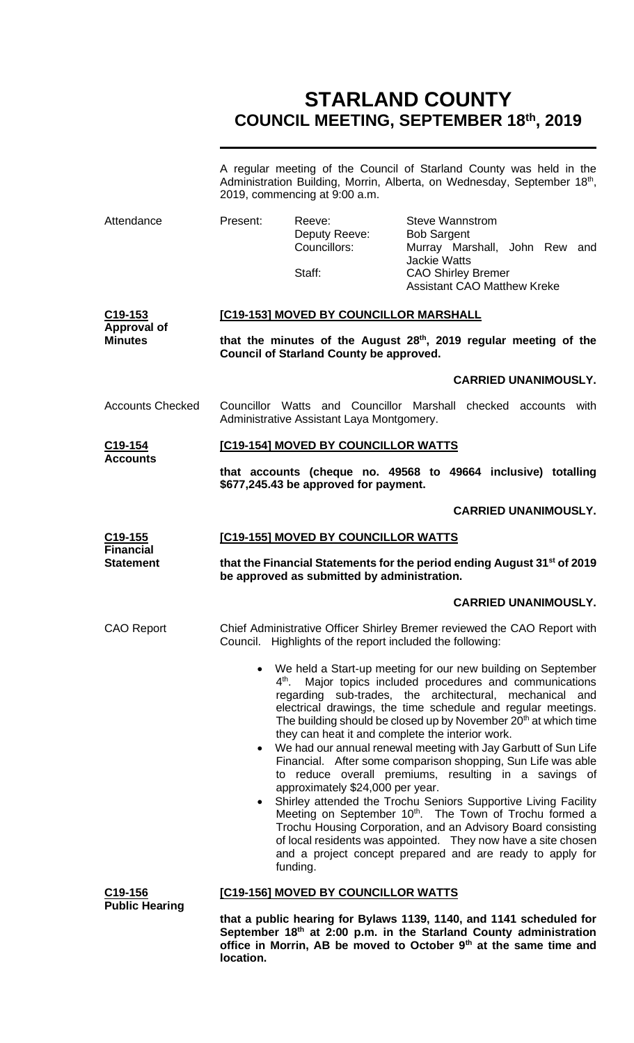# **STARLAND COUNTY COUNCIL MEETING, SEPTEMBER 18 th, 2019**

|                                               | A regular meeting of the Council of Starland County was held in the<br>Administration Building, Morrin, Alberta, on Wednesday, September 18th,<br>2019, commencing at 9:00 a.m. |                                                                                                  |                                                                                                                                                                                                                                                                                                                                                                                                                                                                                                                                                                                                                                                                                                                                                                                                                                                                 |  |  |
|-----------------------------------------------|---------------------------------------------------------------------------------------------------------------------------------------------------------------------------------|--------------------------------------------------------------------------------------------------|-----------------------------------------------------------------------------------------------------------------------------------------------------------------------------------------------------------------------------------------------------------------------------------------------------------------------------------------------------------------------------------------------------------------------------------------------------------------------------------------------------------------------------------------------------------------------------------------------------------------------------------------------------------------------------------------------------------------------------------------------------------------------------------------------------------------------------------------------------------------|--|--|
| Attendance                                    | Present:                                                                                                                                                                        | Reeve:<br>Deputy Reeve:<br>Councillors:<br>Staff:                                                | <b>Steve Wannstrom</b><br><b>Bob Sargent</b><br>Murray Marshall, John Rew and<br><b>Jackie Watts</b><br><b>CAO Shirley Bremer</b>                                                                                                                                                                                                                                                                                                                                                                                                                                                                                                                                                                                                                                                                                                                               |  |  |
|                                               |                                                                                                                                                                                 |                                                                                                  | <b>Assistant CAO Matthew Kreke</b>                                                                                                                                                                                                                                                                                                                                                                                                                                                                                                                                                                                                                                                                                                                                                                                                                              |  |  |
| C <sub>19</sub> -153                          | [C19-153] MOVED BY COUNCILLOR MARSHALL                                                                                                                                          |                                                                                                  |                                                                                                                                                                                                                                                                                                                                                                                                                                                                                                                                                                                                                                                                                                                                                                                                                                                                 |  |  |
| <b>Approval of</b><br><b>Minutes</b>          |                                                                                                                                                                                 | <b>Council of Starland County be approved.</b>                                                   | that the minutes of the August 28 <sup>th</sup> , 2019 regular meeting of the                                                                                                                                                                                                                                                                                                                                                                                                                                                                                                                                                                                                                                                                                                                                                                                   |  |  |
|                                               |                                                                                                                                                                                 |                                                                                                  | <b>CARRIED UNANIMOUSLY.</b>                                                                                                                                                                                                                                                                                                                                                                                                                                                                                                                                                                                                                                                                                                                                                                                                                                     |  |  |
| <b>Accounts Checked</b>                       |                                                                                                                                                                                 | Administrative Assistant Laya Montgomery.                                                        | Councillor Watts and Councillor Marshall checked accounts with                                                                                                                                                                                                                                                                                                                                                                                                                                                                                                                                                                                                                                                                                                                                                                                                  |  |  |
| C19-154<br><b>Accounts</b>                    | [C19-154] MOVED BY COUNCILLOR WATTS                                                                                                                                             |                                                                                                  |                                                                                                                                                                                                                                                                                                                                                                                                                                                                                                                                                                                                                                                                                                                                                                                                                                                                 |  |  |
|                                               | that accounts (cheque no. 49568 to 49664 inclusive) totalling<br>\$677,245.43 be approved for payment.                                                                          |                                                                                                  |                                                                                                                                                                                                                                                                                                                                                                                                                                                                                                                                                                                                                                                                                                                                                                                                                                                                 |  |  |
|                                               |                                                                                                                                                                                 |                                                                                                  | <b>CARRIED UNANIMOUSLY.</b>                                                                                                                                                                                                                                                                                                                                                                                                                                                                                                                                                                                                                                                                                                                                                                                                                                     |  |  |
| C <sub>19</sub> -155<br><b>Financial</b>      | [C19-155] MOVED BY COUNCILLOR WATTS                                                                                                                                             |                                                                                                  |                                                                                                                                                                                                                                                                                                                                                                                                                                                                                                                                                                                                                                                                                                                                                                                                                                                                 |  |  |
| <b>Statement</b>                              | that the Financial Statements for the period ending August 31 <sup>st</sup> of 2019<br>be approved as submitted by administration.                                              |                                                                                                  |                                                                                                                                                                                                                                                                                                                                                                                                                                                                                                                                                                                                                                                                                                                                                                                                                                                                 |  |  |
|                                               |                                                                                                                                                                                 |                                                                                                  | <b>CARRIED UNANIMOUSLY.</b>                                                                                                                                                                                                                                                                                                                                                                                                                                                                                                                                                                                                                                                                                                                                                                                                                                     |  |  |
| <b>CAO Report</b>                             |                                                                                                                                                                                 | Council. Highlights of the report included the following:                                        | Chief Administrative Officer Shirley Bremer reviewed the CAO Report with                                                                                                                                                                                                                                                                                                                                                                                                                                                                                                                                                                                                                                                                                                                                                                                        |  |  |
|                                               | $\bullet$<br>$4^{\text{th}}$ .<br>$\bullet$                                                                                                                                     | they can heat it and complete the interior work.<br>approximately \$24,000 per year.<br>funding. | We held a Start-up meeting for our new building on September<br>Major topics included procedures and communications<br>regarding sub-trades, the architectural, mechanical and<br>electrical drawings, the time schedule and regular meetings.<br>The building should be closed up by November 20 <sup>th</sup> at which time<br>We had our annual renewal meeting with Jay Garbutt of Sun Life<br>Financial. After some comparison shopping, Sun Life was able<br>to reduce overall premiums, resulting in a savings of<br>Shirley attended the Trochu Seniors Supportive Living Facility<br>Meeting on September 10 <sup>th</sup> . The Town of Trochu formed a<br>Trochu Housing Corporation, and an Advisory Board consisting<br>of local residents was appointed. They now have a site chosen<br>and a project concept prepared and are ready to apply for |  |  |
| C <sub>19</sub> -156<br><b>Public Hearing</b> |                                                                                                                                                                                 | [C19-156] MOVED BY COUNCILLOR WATTS                                                              |                                                                                                                                                                                                                                                                                                                                                                                                                                                                                                                                                                                                                                                                                                                                                                                                                                                                 |  |  |
|                                               |                                                                                                                                                                                 |                                                                                                  | that a nublic hearing for Bylaws 1139, 1140, and 1141 scheduled for                                                                                                                                                                                                                                                                                                                                                                                                                                                                                                                                                                                                                                                                                                                                                                                             |  |  |

**that a public hearing for Bylaws 1139, 1140, and 1141 scheduled for September 18th at 2:00 p.m. in the Starland County administration office in Morrin, AB be moved to October 9th at the same time and location.**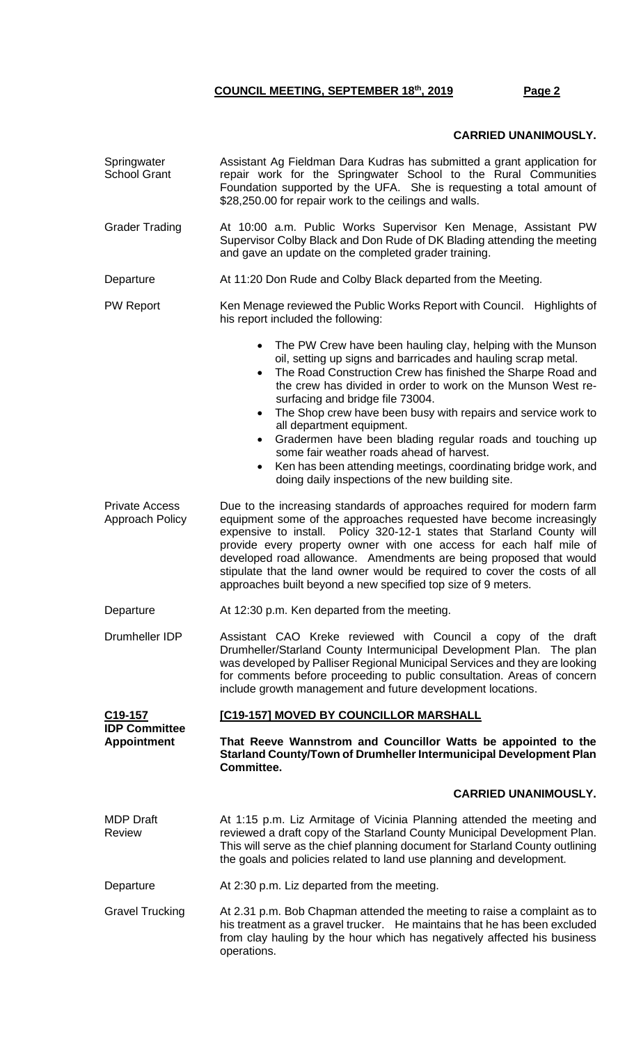## **CARRIED UNANIMOUSLY.**

| Springwater<br><b>School Grant</b>              | Assistant Ag Fieldman Dara Kudras has submitted a grant application for<br>repair work for the Springwater School to the Rural Communities<br>Foundation supported by the UFA. She is requesting a total amount of<br>\$28,250.00 for repair work to the ceilings and walls.                                                                                                                                                                                                                                                                                                                                                                                          |  |  |
|-------------------------------------------------|-----------------------------------------------------------------------------------------------------------------------------------------------------------------------------------------------------------------------------------------------------------------------------------------------------------------------------------------------------------------------------------------------------------------------------------------------------------------------------------------------------------------------------------------------------------------------------------------------------------------------------------------------------------------------|--|--|
| <b>Grader Trading</b>                           | At 10:00 a.m. Public Works Supervisor Ken Menage, Assistant PW<br>Supervisor Colby Black and Don Rude of DK Blading attending the meeting<br>and gave an update on the completed grader training.                                                                                                                                                                                                                                                                                                                                                                                                                                                                     |  |  |
| Departure                                       | At 11:20 Don Rude and Colby Black departed from the Meeting.                                                                                                                                                                                                                                                                                                                                                                                                                                                                                                                                                                                                          |  |  |
| <b>PW Report</b>                                | Ken Menage reviewed the Public Works Report with Council. Highlights of<br>his report included the following:                                                                                                                                                                                                                                                                                                                                                                                                                                                                                                                                                         |  |  |
|                                                 | The PW Crew have been hauling clay, helping with the Munson<br>$\bullet$<br>oil, setting up signs and barricades and hauling scrap metal.<br>The Road Construction Crew has finished the Sharpe Road and<br>$\bullet$<br>the crew has divided in order to work on the Munson West re-<br>surfacing and bridge file 73004.<br>The Shop crew have been busy with repairs and service work to<br>all department equipment.<br>Gradermen have been blading regular roads and touching up<br>$\bullet$<br>some fair weather roads ahead of harvest.<br>Ken has been attending meetings, coordinating bridge work, and<br>doing daily inspections of the new building site. |  |  |
| <b>Private Access</b><br><b>Approach Policy</b> | Due to the increasing standards of approaches required for modern farm<br>equipment some of the approaches requested have become increasingly<br>Policy 320-12-1 states that Starland County will<br>expensive to install.<br>provide every property owner with one access for each half mile of<br>developed road allowance. Amendments are being proposed that would<br>stipulate that the land owner would be required to cover the costs of all<br>approaches built beyond a new specified top size of 9 meters.                                                                                                                                                  |  |  |
| Departure                                       | At 12:30 p.m. Ken departed from the meeting.                                                                                                                                                                                                                                                                                                                                                                                                                                                                                                                                                                                                                          |  |  |
| Drumheller IDP                                  | Assistant CAO Kreke reviewed with Council a copy of the draft<br>Drumheller/Starland County Intermunicipal Development Plan. The plan<br>was developed by Palliser Regional Municipal Services and they are looking<br>for comments before proceeding to public consultation. Areas of concern<br>include growth management and future development locations.                                                                                                                                                                                                                                                                                                         |  |  |
| C <sub>19</sub> -157<br><b>IDP Committee</b>    | [C19-157] MOVED BY COUNCILLOR MARSHALL                                                                                                                                                                                                                                                                                                                                                                                                                                                                                                                                                                                                                                |  |  |
| <b>Appointment</b>                              | That Reeve Wannstrom and Councillor Watts be appointed to the<br>Starland County/Town of Drumheller Intermunicipal Development Plan<br>Committee.                                                                                                                                                                                                                                                                                                                                                                                                                                                                                                                     |  |  |
|                                                 | <b>CARRIED UNANIMOUSLY.</b>                                                                                                                                                                                                                                                                                                                                                                                                                                                                                                                                                                                                                                           |  |  |
| <b>MDP</b> Draft<br><b>Review</b>               | At 1:15 p.m. Liz Armitage of Vicinia Planning attended the meeting and<br>reviewed a draft copy of the Starland County Municipal Development Plan.<br>This will serve as the chief planning document for Starland County outlining<br>the goals and policies related to land use planning and development.                                                                                                                                                                                                                                                                                                                                                            |  |  |
| Departure                                       | At 2:30 p.m. Liz departed from the meeting.                                                                                                                                                                                                                                                                                                                                                                                                                                                                                                                                                                                                                           |  |  |
| <b>Gravel Trucking</b>                          | At 2.31 p.m. Bob Chapman attended the meeting to raise a complaint as to<br>his treatment as a gravel trucker. He maintains that he has been excluded<br>from clay hauling by the hour which has negatively affected his business<br>operations.                                                                                                                                                                                                                                                                                                                                                                                                                      |  |  |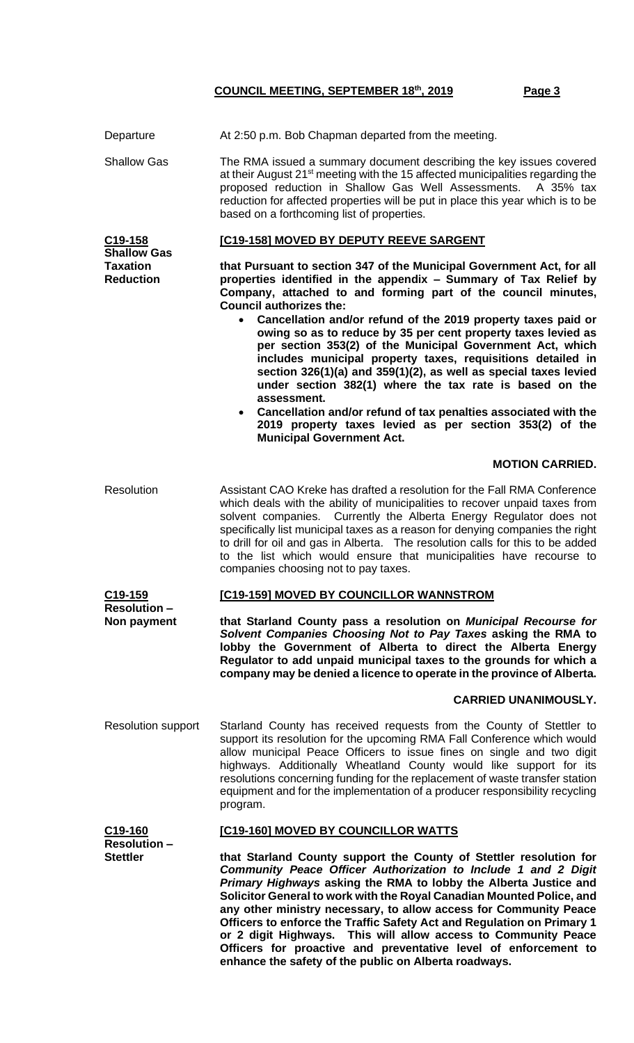| Departure                                                 | At 2:50 p.m. Bob Chapman departed from the meeting.                                                                                                                                                                                                                                                                                                                                                                                                                                                                                                                                                                                                                                                                         |  |  |
|-----------------------------------------------------------|-----------------------------------------------------------------------------------------------------------------------------------------------------------------------------------------------------------------------------------------------------------------------------------------------------------------------------------------------------------------------------------------------------------------------------------------------------------------------------------------------------------------------------------------------------------------------------------------------------------------------------------------------------------------------------------------------------------------------------|--|--|
| <b>Shallow Gas</b>                                        | The RMA issued a summary document describing the key issues covered<br>at their August 21 <sup>st</sup> meeting with the 15 affected municipalities regarding the<br>proposed reduction in Shallow Gas Well Assessments. A 35% tax<br>reduction for affected properties will be put in place this year which is to be<br>based on a forthcoming list of properties.                                                                                                                                                                                                                                                                                                                                                         |  |  |
| C19-158                                                   | [C19-158] MOVED BY DEPUTY REEVE SARGENT                                                                                                                                                                                                                                                                                                                                                                                                                                                                                                                                                                                                                                                                                     |  |  |
| <b>Shallow Gas</b><br><b>Taxation</b><br><b>Reduction</b> | that Pursuant to section 347 of the Municipal Government Act, for all<br>properties identified in the appendix - Summary of Tax Relief by<br>Company, attached to and forming part of the council minutes,<br><b>Council authorizes the:</b><br>Cancellation and/or refund of the 2019 property taxes paid or<br>owing so as to reduce by 35 per cent property taxes levied as<br>per section 353(2) of the Municipal Government Act, which<br>includes municipal property taxes, requisitions detailed in<br>section 326(1)(a) and 359(1)(2), as well as special taxes levied<br>under section 382(1) where the tax rate is based on the<br>assessment.<br>Cancellation and/or refund of tax penalties associated with the |  |  |
|                                                           | 2019 property taxes levied as per section 353(2) of the<br><b>Municipal Government Act.</b>                                                                                                                                                                                                                                                                                                                                                                                                                                                                                                                                                                                                                                 |  |  |
|                                                           | <b>MOTION CARRIED.</b>                                                                                                                                                                                                                                                                                                                                                                                                                                                                                                                                                                                                                                                                                                      |  |  |
| <b>Resolution</b>                                         | Assistant CAO Kreke has drafted a resolution for the Fall RMA Conference<br>which deals with the ability of municipalities to recover unpaid taxes from<br>solvent companies. Currently the Alberta Energy Regulator does not<br>specifically list municipal taxes as a reason for denying companies the right<br>to drill for oil and gas in Alberta. The resolution calls for this to be added<br>to the list which would ensure that municipalities have recourse to<br>companies choosing not to pay taxes.                                                                                                                                                                                                             |  |  |
| C <sub>19</sub> -159                                      | [C19-159] MOVED BY COUNCILLOR WANNSTROM                                                                                                                                                                                                                                                                                                                                                                                                                                                                                                                                                                                                                                                                                     |  |  |
| <b>Resolution-</b><br>Non payment                         | that Starland County pass a resolution on Municipal Recourse for<br>Solvent Companies Choosing Not to Pay Taxes asking the RMA to<br>lobby the Government of Alberta to direct the Alberta Energy<br>Regulator to add unpaid municipal taxes to the grounds for which a<br>company may be denied a licence to operate in the province of Alberta.                                                                                                                                                                                                                                                                                                                                                                           |  |  |
|                                                           | <b>CARRIED UNANIMOUSLY.</b>                                                                                                                                                                                                                                                                                                                                                                                                                                                                                                                                                                                                                                                                                                 |  |  |
| <b>Resolution support</b>                                 | Starland County has received requests from the County of Stettler to<br>support its resolution for the upcoming RMA Fall Conference which would<br>allow municipal Peace Officers to issue fines on single and two digit<br>highways. Additionally Wheatland County would like support for its<br>resolutions concerning funding for the replacement of waste transfer station<br>equipment and for the implementation of a producer responsibility recycling<br>program.                                                                                                                                                                                                                                                   |  |  |
| C19-160<br><b>Resolution-</b><br><b>Stettler</b>          | [C19-160] MOVED BY COUNCILLOR WATTS                                                                                                                                                                                                                                                                                                                                                                                                                                                                                                                                                                                                                                                                                         |  |  |
|                                                           | that Starland County support the County of Stettler resolution for<br>Community Peace Officer Authorization to Include 1 and 2 Digit<br>Primary Highways asking the RMA to lobby the Alberta Justice and<br>Solicitor General to work with the Royal Canadian Mounted Police, and<br>any other ministry necessary, to allow access for Community Peace<br>Officers to enforce the Traffic Safety Act and Regulation on Primary 1<br>or 2 digit Highways. This will allow access to Community Peace<br>Officers for proactive and preventative level of enforcement to<br>enhance the safety of the public on Alberta roadways.                                                                                              |  |  |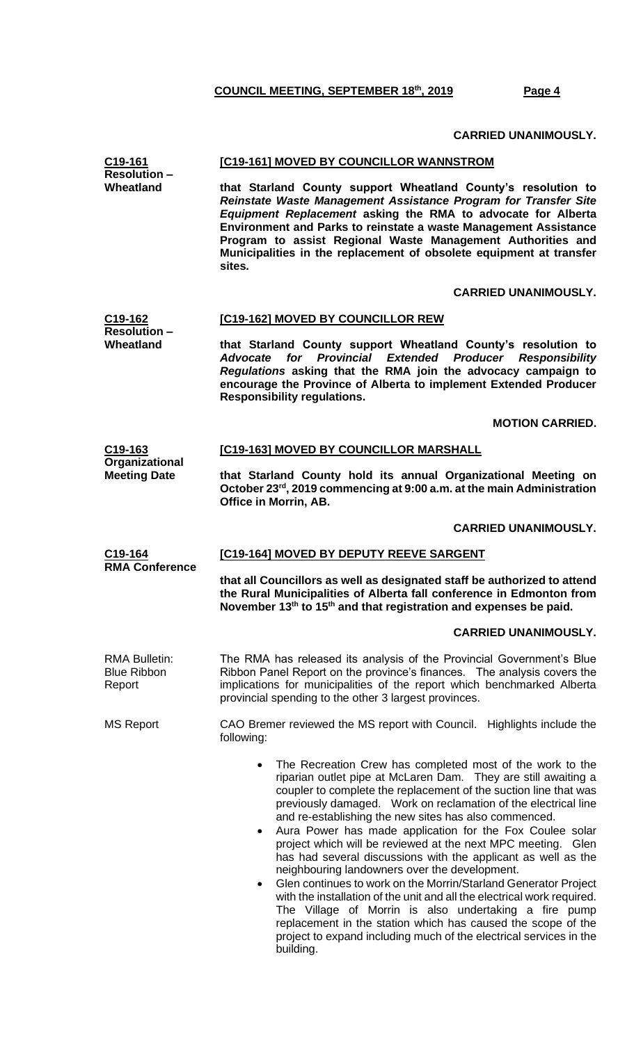#### **CARRIED UNANIMOUSLY.**

| C19-161<br><b>Resolution-</b><br>Wheatland           | [C19-161] MOVED BY COUNCILLOR WANNSTROM<br>that Starland County support Wheatland County's resolution to<br>Reinstate Waste Management Assistance Program for Transfer Site<br>Equipment Replacement asking the RMA to advocate for Alberta<br>Environment and Parks to reinstate a waste Management Assistance<br>Program to assist Regional Waste Management Authorities and<br>Municipalities in the replacement of obsolete equipment at transfer                                                                                                                                                                                                                                                                                                                                                                                                             |  |  |
|------------------------------------------------------|-------------------------------------------------------------------------------------------------------------------------------------------------------------------------------------------------------------------------------------------------------------------------------------------------------------------------------------------------------------------------------------------------------------------------------------------------------------------------------------------------------------------------------------------------------------------------------------------------------------------------------------------------------------------------------------------------------------------------------------------------------------------------------------------------------------------------------------------------------------------|--|--|
|                                                      | sites.                                                                                                                                                                                                                                                                                                                                                                                                                                                                                                                                                                                                                                                                                                                                                                                                                                                            |  |  |
|                                                      | <b>CARRIED UNANIMOUSLY.</b>                                                                                                                                                                                                                                                                                                                                                                                                                                                                                                                                                                                                                                                                                                                                                                                                                                       |  |  |
| C <sub>19-162</sub><br><b>Resolution-</b>            | [C19-162] MOVED BY COUNCILLOR REW                                                                                                                                                                                                                                                                                                                                                                                                                                                                                                                                                                                                                                                                                                                                                                                                                                 |  |  |
| Wheatland                                            | that Starland County support Wheatland County's resolution to<br>Advocate for Provincial Extended Producer Responsibility<br>Regulations asking that the RMA join the advocacy campaign to<br>encourage the Province of Alberta to implement Extended Producer<br><b>Responsibility regulations.</b>                                                                                                                                                                                                                                                                                                                                                                                                                                                                                                                                                              |  |  |
|                                                      | <b>MOTION CARRIED.</b>                                                                                                                                                                                                                                                                                                                                                                                                                                                                                                                                                                                                                                                                                                                                                                                                                                            |  |  |
| C19-163                                              | [C19-163] MOVED BY COUNCILLOR MARSHALL                                                                                                                                                                                                                                                                                                                                                                                                                                                                                                                                                                                                                                                                                                                                                                                                                            |  |  |
| Organizational<br><b>Meeting Date</b>                | that Starland County hold its annual Organizational Meeting on<br>October 23 <sup>rd</sup> , 2019 commencing at 9:00 a.m. at the main Administration<br>Office in Morrin, AB.                                                                                                                                                                                                                                                                                                                                                                                                                                                                                                                                                                                                                                                                                     |  |  |
|                                                      | <b>CARRIED UNANIMOUSLY.</b>                                                                                                                                                                                                                                                                                                                                                                                                                                                                                                                                                                                                                                                                                                                                                                                                                                       |  |  |
| C <sub>19</sub> -164                                 | [C19-164] MOVED BY DEPUTY REEVE SARGENT                                                                                                                                                                                                                                                                                                                                                                                                                                                                                                                                                                                                                                                                                                                                                                                                                           |  |  |
| <b>RMA Conference</b>                                | that all Councillors as well as designated staff be authorized to attend<br>the Rural Municipalities of Alberta fall conference in Edmonton from<br>November 13th to 15th and that registration and expenses be paid.                                                                                                                                                                                                                                                                                                                                                                                                                                                                                                                                                                                                                                             |  |  |
|                                                      | <b>CARRIED UNANIMOUSLY.</b>                                                                                                                                                                                                                                                                                                                                                                                                                                                                                                                                                                                                                                                                                                                                                                                                                                       |  |  |
| <b>RMA Bulletin:</b><br><b>Blue Ribbon</b><br>Report | The RMA has released its analysis of the Provincial Government's Blue<br>Ribbon Panel Report on the province's finances. The analysis covers the<br>implications for municipalities of the report which benchmarked Alberta<br>provincial spending to the other 3 largest provinces.                                                                                                                                                                                                                                                                                                                                                                                                                                                                                                                                                                              |  |  |
| <b>MS Report</b>                                     | CAO Bremer reviewed the MS report with Council. Highlights include the<br>following:                                                                                                                                                                                                                                                                                                                                                                                                                                                                                                                                                                                                                                                                                                                                                                              |  |  |
|                                                      | The Recreation Crew has completed most of the work to the<br>riparian outlet pipe at McLaren Dam. They are still awaiting a<br>coupler to complete the replacement of the suction line that was<br>previously damaged. Work on reclamation of the electrical line<br>and re-establishing the new sites has also commenced.<br>Aura Power has made application for the Fox Coulee solar<br>٠<br>project which will be reviewed at the next MPC meeting. Glen<br>has had several discussions with the applicant as well as the<br>neighbouring landowners over the development.<br>Glen continues to work on the Morrin/Starland Generator Project<br>$\bullet$<br>with the installation of the unit and all the electrical work required.<br>The Village of Morrin is also undertaking a fire pump<br>replacement in the station which has caused the scope of the |  |  |

building.

project to expand including much of the electrical services in the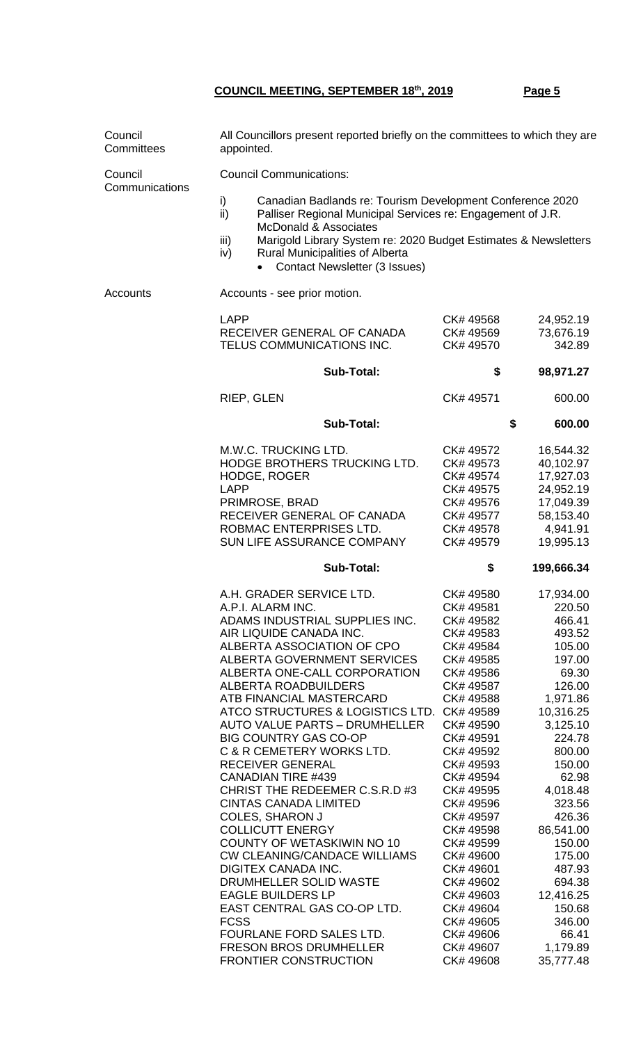| Council<br>Committees     | All Councillors present reported briefly on the committees to which they are<br>appointed.                                                                                                                                                                                                                                                                                                                                                                                                                                                                                                                                                                                                                                                                                                                                                                                                        |                                                                                                                                                                                                                                                                                                                                                                          |                                                                                                                                                                                                                                                                                                                    |  |  |
|---------------------------|---------------------------------------------------------------------------------------------------------------------------------------------------------------------------------------------------------------------------------------------------------------------------------------------------------------------------------------------------------------------------------------------------------------------------------------------------------------------------------------------------------------------------------------------------------------------------------------------------------------------------------------------------------------------------------------------------------------------------------------------------------------------------------------------------------------------------------------------------------------------------------------------------|--------------------------------------------------------------------------------------------------------------------------------------------------------------------------------------------------------------------------------------------------------------------------------------------------------------------------------------------------------------------------|--------------------------------------------------------------------------------------------------------------------------------------------------------------------------------------------------------------------------------------------------------------------------------------------------------------------|--|--|
| Council<br>Communications | <b>Council Communications:</b>                                                                                                                                                                                                                                                                                                                                                                                                                                                                                                                                                                                                                                                                                                                                                                                                                                                                    |                                                                                                                                                                                                                                                                                                                                                                          |                                                                                                                                                                                                                                                                                                                    |  |  |
|                           | i)<br>Canadian Badlands re: Tourism Development Conference 2020<br>ii)<br>Palliser Regional Municipal Services re: Engagement of J.R.<br><b>McDonald &amp; Associates</b><br>Marigold Library System re: 2020 Budget Estimates & Newsletters<br>iii)<br><b>Rural Municipalities of Alberta</b><br>iv)<br>Contact Newsletter (3 Issues)                                                                                                                                                                                                                                                                                                                                                                                                                                                                                                                                                            |                                                                                                                                                                                                                                                                                                                                                                          |                                                                                                                                                                                                                                                                                                                    |  |  |
| Accounts                  | Accounts - see prior motion.                                                                                                                                                                                                                                                                                                                                                                                                                                                                                                                                                                                                                                                                                                                                                                                                                                                                      |                                                                                                                                                                                                                                                                                                                                                                          |                                                                                                                                                                                                                                                                                                                    |  |  |
|                           | <b>LAPP</b><br>RECEIVER GENERAL OF CANADA<br>TELUS COMMUNICATIONS INC.                                                                                                                                                                                                                                                                                                                                                                                                                                                                                                                                                                                                                                                                                                                                                                                                                            | CK# 49568<br>CK# 49569<br>CK# 49570                                                                                                                                                                                                                                                                                                                                      | 24,952.19<br>73,676.19<br>342.89                                                                                                                                                                                                                                                                                   |  |  |
|                           | <b>Sub-Total:</b>                                                                                                                                                                                                                                                                                                                                                                                                                                                                                                                                                                                                                                                                                                                                                                                                                                                                                 | \$                                                                                                                                                                                                                                                                                                                                                                       | 98,971.27                                                                                                                                                                                                                                                                                                          |  |  |
|                           | RIEP, GLEN                                                                                                                                                                                                                                                                                                                                                                                                                                                                                                                                                                                                                                                                                                                                                                                                                                                                                        | CK# 49571                                                                                                                                                                                                                                                                                                                                                                | 600.00                                                                                                                                                                                                                                                                                                             |  |  |
|                           | <b>Sub-Total:</b>                                                                                                                                                                                                                                                                                                                                                                                                                                                                                                                                                                                                                                                                                                                                                                                                                                                                                 |                                                                                                                                                                                                                                                                                                                                                                          | \$<br>600.00                                                                                                                                                                                                                                                                                                       |  |  |
|                           | M.W.C. TRUCKING LTD.<br>HODGE BROTHERS TRUCKING LTD.<br><b>HODGE, ROGER</b><br><b>LAPP</b><br>PRIMROSE, BRAD<br>RECEIVER GENERAL OF CANADA<br>ROBMAC ENTERPRISES LTD.<br>SUN LIFE ASSURANCE COMPANY                                                                                                                                                                                                                                                                                                                                                                                                                                                                                                                                                                                                                                                                                               | CK# 49572<br>CK# 49573<br>CK# 49574<br>CK# 49575<br>CK# 49576<br>CK# 49577<br>CK# 49578<br>CK# 49579                                                                                                                                                                                                                                                                     | 16,544.32<br>40,102.97<br>17,927.03<br>24,952.19<br>17,049.39<br>58,153.40<br>4,941.91<br>19,995.13                                                                                                                                                                                                                |  |  |
|                           | <b>Sub-Total:</b>                                                                                                                                                                                                                                                                                                                                                                                                                                                                                                                                                                                                                                                                                                                                                                                                                                                                                 | \$                                                                                                                                                                                                                                                                                                                                                                       | 199,666.34                                                                                                                                                                                                                                                                                                         |  |  |
|                           | A.H. GRADER SERVICE LTD.<br>A.P.I. ALARM INC.<br>ADAMS INDUSTRIAL SUPPLIES INC.<br>AIR LIQUIDE CANADA INC.<br>ALBERTA ASSOCIATION OF CPO<br>ALBERTA GOVERNMENT SERVICES<br>ALBERTA ONE-CALL CORPORATION<br><b>ALBERTA ROADBUILDERS</b><br>ATB FINANCIAL MASTERCARD<br>ATCO STRUCTURES & LOGISTICS LTD. CK# 49589<br><b>AUTO VALUE PARTS - DRUMHELLER</b><br><b>BIG COUNTRY GAS CO-OP</b><br>C & R CEMETERY WORKS LTD.<br><b>RECEIVER GENERAL</b><br><b>CANADIAN TIRE #439</b><br>CHRIST THE REDEEMER C.S.R.D #3<br><b>CINTAS CANADA LIMITED</b><br><b>COLES, SHARON J</b><br><b>COLLICUTT ENERGY</b><br>COUNTY OF WETASKIWIN NO 10<br><b>CW CLEANING/CANDACE WILLIAMS</b><br>DIGITEX CANADA INC.<br>DRUMHELLER SOLID WASTE<br><b>EAGLE BUILDERS LP</b><br>EAST CENTRAL GAS CO-OP LTD.<br><b>FCSS</b><br>FOURLANE FORD SALES LTD.<br><b>FRESON BROS DRUMHELLER</b><br><b>FRONTIER CONSTRUCTION</b> | CK# 49580<br>CK# 49581<br>CK# 49582<br>CK# 49583<br>CK# 49584<br>CK# 49585<br>CK# 49586<br>CK# 49587<br>CK# 49588<br>CK# 49590<br>CK# 49591<br>CK# 49592<br>CK# 49593<br>CK# 49594<br>CK# 49595<br>CK# 49596<br>CK# 49597<br>CK# 49598<br>CK# 49599<br>CK# 49600<br>CK# 49601<br>CK# 49602<br>CK# 49603<br>CK# 49604<br>CK# 49605<br>CK# 49606<br>CK# 49607<br>CK# 49608 | 17,934.00<br>220.50<br>466.41<br>493.52<br>105.00<br>197.00<br>69.30<br>126.00<br>1,971.86<br>10,316.25<br>3,125.10<br>224.78<br>800.00<br>150.00<br>62.98<br>4,018.48<br>323.56<br>426.36<br>86,541.00<br>150.00<br>175.00<br>487.93<br>694.38<br>12,416.25<br>150.68<br>346.00<br>66.41<br>1,179.89<br>35,777.48 |  |  |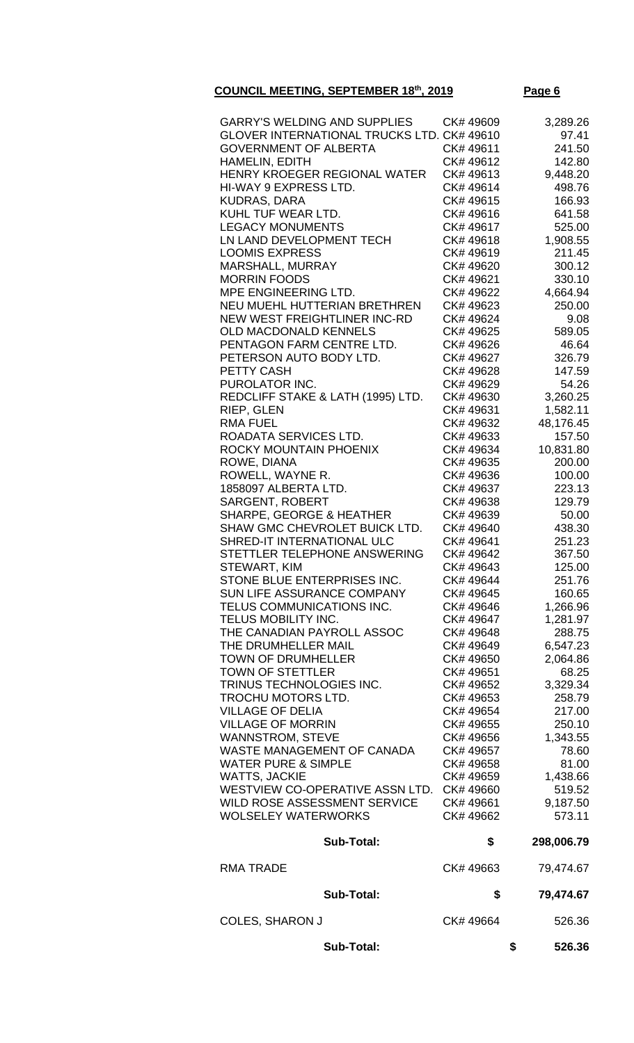| <b>GARRY'S WELDING AND SUPPLIES</b><br>GLOVER INTERNATIONAL TRUCKS LTD. CK# 49610<br><b>GOVERNMENT OF ALBERTA</b><br>HAMELIN, EDITH<br>HENRY KROEGER REGIONAL WATER<br>HI-WAY 9 EXPRESS LTD.<br><b>KUDRAS, DARA</b><br>KUHL TUF WEAR LTD. | CK# 49609<br>CK# 49611<br>CK# 49612<br>CK# 49613<br>CK# 49614<br>CK# 49615<br>CK# 49616 | 3,289.26<br>97.41<br>241.50<br>142.80<br>9,448.20<br>498.76<br>166.93<br>641.58 |
|-------------------------------------------------------------------------------------------------------------------------------------------------------------------------------------------------------------------------------------------|-----------------------------------------------------------------------------------------|---------------------------------------------------------------------------------|
| <b>LEGACY MONUMENTS</b>                                                                                                                                                                                                                   | CK# 49617                                                                               | 525.00                                                                          |
| LN LAND DEVELOPMENT TECH                                                                                                                                                                                                                  | CK# 49618                                                                               | 1,908.55                                                                        |
| <b>LOOMIS EXPRESS</b>                                                                                                                                                                                                                     | CK# 49619                                                                               | 211.45                                                                          |
| MARSHALL, MURRAY                                                                                                                                                                                                                          | CK# 49620                                                                               | 300.12                                                                          |
| <b>MORRIN FOODS</b><br>MPE ENGINEERING LTD.                                                                                                                                                                                               | CK# 49621<br>CK# 49622                                                                  | 330.10<br>4,664.94                                                              |
| NEU MUEHL HUTTERIAN BRETHREN                                                                                                                                                                                                              | CK# 49623                                                                               | 250.00                                                                          |
| NEW WEST FREIGHTLINER INC-RD                                                                                                                                                                                                              | CK# 49624                                                                               | 9.08                                                                            |
| <b>OLD MACDONALD KENNELS</b>                                                                                                                                                                                                              | CK# 49625                                                                               | 589.05                                                                          |
| PENTAGON FARM CENTRE LTD.                                                                                                                                                                                                                 | CK# 49626                                                                               | 46.64                                                                           |
| PETERSON AUTO BODY LTD.                                                                                                                                                                                                                   | CK# 49627                                                                               | 326.79                                                                          |
| <b>PETTY CASH</b>                                                                                                                                                                                                                         | CK# 49628                                                                               | 147.59                                                                          |
| PUROLATOR INC.                                                                                                                                                                                                                            | CK# 49629                                                                               | 54.26                                                                           |
| REDCLIFF STAKE & LATH (1995) LTD.                                                                                                                                                                                                         | CK# 49630                                                                               | 3,260.25                                                                        |
| RIEP, GLEN                                                                                                                                                                                                                                | CK# 49631                                                                               | 1,582.11                                                                        |
| <b>RMA FUEL</b><br>ROADATA SERVICES LTD.                                                                                                                                                                                                  | CK# 49632<br>CK# 49633                                                                  | 48,176.45<br>157.50                                                             |
| ROCKY MOUNTAIN PHOENIX                                                                                                                                                                                                                    | CK# 49634                                                                               | 10,831.80                                                                       |
| ROWE, DIANA                                                                                                                                                                                                                               | CK# 49635                                                                               | 200.00                                                                          |
| ROWELL, WAYNE R.                                                                                                                                                                                                                          | CK# 49636                                                                               | 100.00                                                                          |
| 1858097 ALBERTA LTD.                                                                                                                                                                                                                      | CK# 49637                                                                               | 223.13                                                                          |
| <b>SARGENT, ROBERT</b>                                                                                                                                                                                                                    | CK# 49638                                                                               | 129.79                                                                          |
| <b>SHARPE, GEORGE &amp; HEATHER</b>                                                                                                                                                                                                       | CK# 49639                                                                               | 50.00                                                                           |
| SHAW GMC CHEVROLET BUICK LTD.                                                                                                                                                                                                             | CK# 49640                                                                               | 438.30                                                                          |
| SHRED-IT INTERNATIONAL ULC                                                                                                                                                                                                                | CK# 49641                                                                               | 251.23                                                                          |
| STETTLER TELEPHONE ANSWERING                                                                                                                                                                                                              | CK# 49642                                                                               | 367.50                                                                          |
| STEWART, KIM                                                                                                                                                                                                                              | CK# 49643                                                                               | 125.00                                                                          |
| STONE BLUE ENTERPRISES INC.<br><b>SUN LIFE ASSURANCE COMPANY</b>                                                                                                                                                                          | CK# 49644<br>CK# 49645                                                                  | 251.76<br>160.65                                                                |
| TELUS COMMUNICATIONS INC.                                                                                                                                                                                                                 | CK# 49646                                                                               | 1,266.96                                                                        |
| TELUS MOBILITY INC.                                                                                                                                                                                                                       | CK# 49647                                                                               | 1,281.97                                                                        |
| THE CANADIAN PAYROLL ASSOC                                                                                                                                                                                                                | CK# 49648                                                                               | 288.75                                                                          |
| THE DRUMHELLER MAIL                                                                                                                                                                                                                       | CK# 49649                                                                               | 6,547.23                                                                        |
| <b>TOWN OF DRUMHELLER</b>                                                                                                                                                                                                                 | CK# 49650                                                                               | 2,064.86                                                                        |
| <b>TOWN OF STETTLER</b>                                                                                                                                                                                                                   | CK# 49651                                                                               | 68.25                                                                           |
| TRINUS TECHNOLOGIES INC.                                                                                                                                                                                                                  | CK# 49652                                                                               | 3,329.34                                                                        |
| <b>TROCHU MOTORS LTD.</b>                                                                                                                                                                                                                 | CK# 49653                                                                               | 258.79                                                                          |
| <b>VILLAGE OF DELIA</b>                                                                                                                                                                                                                   | CK# 49654                                                                               | 217.00                                                                          |
| <b>VILLAGE OF MORRIN</b>                                                                                                                                                                                                                  | CK# 49655                                                                               | 250.10                                                                          |
| <b>WANNSTROM, STEVE</b><br>WASTE MANAGEMENT OF CANADA                                                                                                                                                                                     | CK# 49656<br>CK# 49657                                                                  | 1,343.55<br>78.60                                                               |
| <b>WATER PURE &amp; SIMPLE</b>                                                                                                                                                                                                            | CK# 49658                                                                               | 81.00                                                                           |
| <b>WATTS, JACKIE</b>                                                                                                                                                                                                                      | CK# 49659                                                                               | 1,438.66                                                                        |
| WESTVIEW CO-OPERATIVE ASSN LTD.                                                                                                                                                                                                           | CK# 49660                                                                               | 519.52                                                                          |
| WILD ROSE ASSESSMENT SERVICE                                                                                                                                                                                                              | CK# 49661                                                                               | 9,187.50                                                                        |
| <b>WOLSELEY WATERWORKS</b>                                                                                                                                                                                                                | CK# 49662                                                                               | 573.11                                                                          |
| <b>Sub-Total:</b>                                                                                                                                                                                                                         | \$                                                                                      | 298,006.79                                                                      |
| <b>RMA TRADE</b>                                                                                                                                                                                                                          | CK# 49663                                                                               | 79,474.67                                                                       |
| <b>Sub-Total:</b>                                                                                                                                                                                                                         | \$                                                                                      | 79,474.67                                                                       |
| <b>COLES, SHARON J</b>                                                                                                                                                                                                                    | CK# 49664                                                                               | 526.36                                                                          |
| <b>Sub-Total:</b>                                                                                                                                                                                                                         |                                                                                         | \$<br>526.36                                                                    |